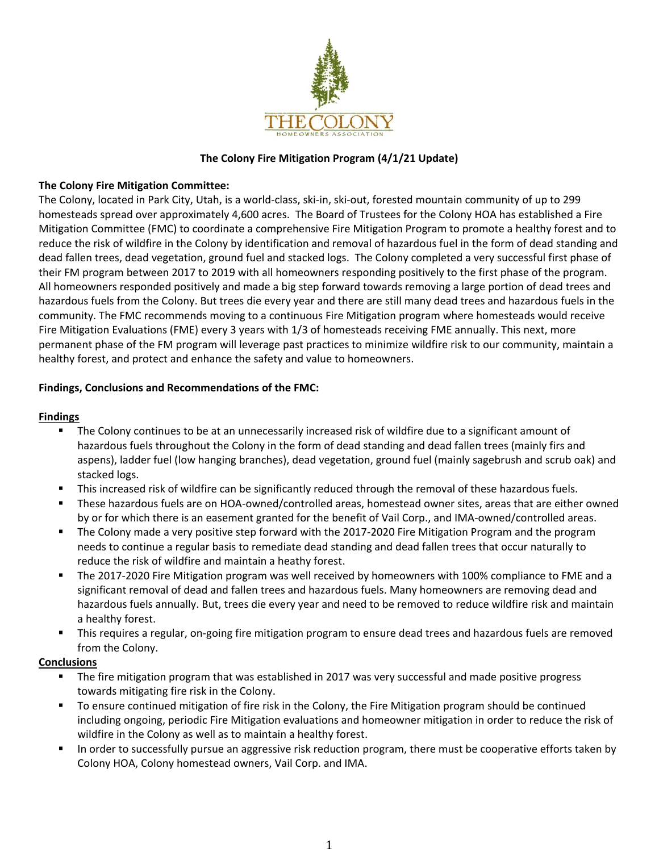

## **The Colony Fire Mitigation Program (4/1/21 Update)**

# **The Colony Fire Mitigation Committee:**

The Colony, located in Park City, Utah, is a world-class, ski-in, ski-out, forested mountain community of up to 299 homesteads spread over approximately 4,600 acres. The Board of Trustees for the Colony HOA has established a Fire Mitigation Committee (FMC) to coordinate a comprehensive Fire Mitigation Program to promote a healthy forest and to reduce the risk of wildfire in the Colony by identification and removal of hazardous fuel in the form of dead standing and dead fallen trees, dead vegetation, ground fuel and stacked logs. The Colony completed a very successful first phase of their FM program between 2017 to 2019 with all homeowners responding positively to the first phase of the program. All homeowners responded positively and made a big step forward towards removing a large portion of dead trees and hazardous fuels from the Colony. But trees die every year and there are still many dead trees and hazardous fuels in the community. The FMC recommends moving to a continuous Fire Mitigation program where homesteads would receive Fire Mitigation Evaluations (FME) every 3 years with 1/3 of homesteads receiving FME annually. This next, more permanent phase of the FM program will leverage past practices to minimize wildfire risk to our community, maintain a healthy forest, and protect and enhance the safety and value to homeowners.

# **Findings, Conclusions and Recommendations of the FMC:**

### **Findings**

- The Colony continues to be at an unnecessarily increased risk of wildfire due to a significant amount of hazardous fuels throughout the Colony in the form of dead standing and dead fallen trees (mainly firs and aspens), ladder fuel (low hanging branches), dead vegetation, ground fuel (mainly sagebrush and scrub oak) and stacked logs.
- This increased risk of wildfire can be significantly reduced through the removal of these hazardous fuels.
- These hazardous fuels are on HOA-owned/controlled areas, homestead owner sites, areas that are either owned by or for which there is an easement granted for the benefit of Vail Corp., and IMA-owned/controlled areas.
- The Colony made a very positive step forward with the 2017-2020 Fire Mitigation Program and the program needs to continue a regular basis to remediate dead standing and dead fallen trees that occur naturally to reduce the risk of wildfire and maintain a heathy forest.
- The 2017-2020 Fire Mitigation program was well received by homeowners with 100% compliance to FME and a significant removal of dead and fallen trees and hazardous fuels. Many homeowners are removing dead and hazardous fuels annually. But, trees die every year and need to be removed to reduce wildfire risk and maintain a healthy forest.
- This requires a regular, on-going fire mitigation program to ensure dead trees and hazardous fuels are removed from the Colony.

### **Conclusions**

- The fire mitigation program that was established in 2017 was very successful and made positive progress towards mitigating fire risk in the Colony.
- To ensure continued mitigation of fire risk in the Colony, the Fire Mitigation program should be continued including ongoing, periodic Fire Mitigation evaluations and homeowner mitigation in order to reduce the risk of wildfire in the Colony as well as to maintain a healthy forest.
- In order to successfully pursue an aggressive risk reduction program, there must be cooperative efforts taken by Colony HOA, Colony homestead owners, Vail Corp. and IMA.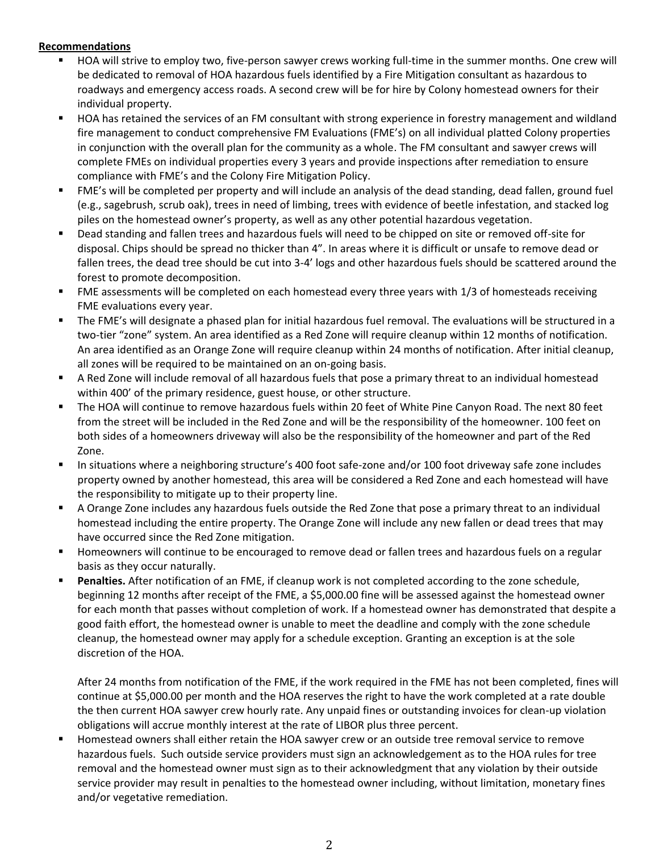### **Recommendations**

- HOA will strive to employ two, five-person sawyer crews working full-time in the summer months. One crew will be dedicated to removal of HOA hazardous fuels identified by a Fire Mitigation consultant as hazardous to roadways and emergency access roads. A second crew will be for hire by Colony homestead owners for their individual property.
- HOA has retained the services of an FM consultant with strong experience in forestry management and wildland fire management to conduct comprehensive FM Evaluations (FME's) on all individual platted Colony properties in conjunction with the overall plan for the community as a whole. The FM consultant and sawyer crews will complete FMEs on individual properties every 3 years and provide inspections after remediation to ensure compliance with FME's and the Colony Fire Mitigation Policy.
- FME's will be completed per property and will include an analysis of the dead standing, dead fallen, ground fuel (e.g., sagebrush, scrub oak), trees in need of limbing, trees with evidence of beetle infestation, and stacked log piles on the homestead owner's property, as well as any other potential hazardous vegetation.
- Dead standing and fallen trees and hazardous fuels will need to be chipped on site or removed off-site for disposal. Chips should be spread no thicker than 4". In areas where it is difficult or unsafe to remove dead or fallen trees, the dead tree should be cut into 3-4' logs and other hazardous fuels should be scattered around the forest to promote decomposition.
- FME assessments will be completed on each homestead every three years with 1/3 of homesteads receiving FME evaluations every year.
- The FME's will designate a phased plan for initial hazardous fuel removal. The evaluations will be structured in a two-tier "zone" system. An area identified as a Red Zone will require cleanup within 12 months of notification. An area identified as an Orange Zone will require cleanup within 24 months of notification. After initial cleanup, all zones will be required to be maintained on an on-going basis.
- A Red Zone will include removal of all hazardous fuels that pose a primary threat to an individual homestead within 400' of the primary residence, guest house, or other structure.
- The HOA will continue to remove hazardous fuels within 20 feet of White Pine Canyon Road. The next 80 feet from the street will be included in the Red Zone and will be the responsibility of the homeowner. 100 feet on both sides of a homeowners driveway will also be the responsibility of the homeowner and part of the Red Zone.
- In situations where a neighboring structure's 400 foot safe-zone and/or 100 foot driveway safe zone includes property owned by another homestead, this area will be considered a Red Zone and each homestead will have the responsibility to mitigate up to their property line.
- A Orange Zone includes any hazardous fuels outside the Red Zone that pose a primary threat to an individual homestead including the entire property. The Orange Zone will include any new fallen or dead trees that may have occurred since the Red Zone mitigation.
- Homeowners will continue to be encouraged to remove dead or fallen trees and hazardous fuels on a regular basis as they occur naturally.
- Penalties. After notification of an FME, if cleanup work is not completed according to the zone schedule, beginning 12 months after receipt of the FME, a \$5,000.00 fine will be assessed against the homestead owner for each month that passes without completion of work. If a homestead owner has demonstrated that despite a good faith effort, the homestead owner is unable to meet the deadline and comply with the zone schedule cleanup, the homestead owner may apply for a schedule exception. Granting an exception is at the sole discretion of the HOA.

After 24 months from notification of the FME, if the work required in the FME has not been completed, fines will continue at \$5,000.00 per month and the HOA reserves the right to have the work completed at a rate double the then current HOA sawyer crew hourly rate. Any unpaid fines or outstanding invoices for clean-up violation obligations will accrue monthly interest at the rate of LIBOR plus three percent.

Homestead owners shall either retain the HOA sawyer crew or an outside tree removal service to remove hazardous fuels. Such outside service providers must sign an acknowledgement as to the HOA rules for tree removal and the homestead owner must sign as to their acknowledgment that any violation by their outside service provider may result in penalties to the homestead owner including, without limitation, monetary fines and/or vegetative remediation.